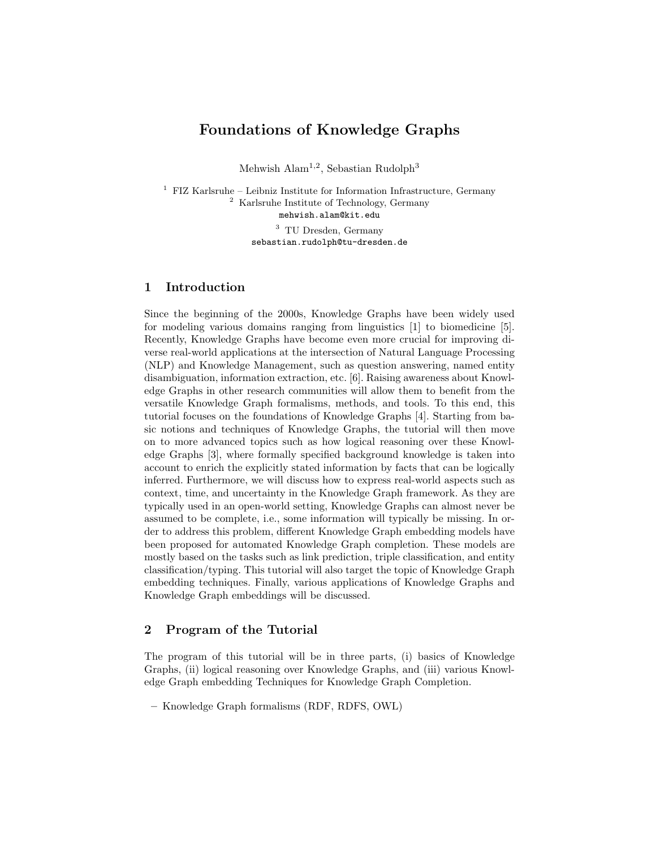# Foundations of Knowledge Graphs

Mehwish Alam<sup>1,2</sup>, Sebastian Rudolph<sup>3</sup>

 FIZ Karlsruhe – Leibniz Institute for Information Infrastructure, Germany Karlsruhe Institute of Technology, Germany mehwish.alam@kit.edu TU Dresden, Germany

sebastian.rudolph@tu-dresden.de

## 1 Introduction

Since the beginning of the 2000s, Knowledge Graphs have been widely used for modeling various domains ranging from linguistics [1] to biomedicine [5]. Recently, Knowledge Graphs have become even more crucial for improving diverse real-world applications at the intersection of Natural Language Processing (NLP) and Knowledge Management, such as question answering, named entity disambiguation, information extraction, etc. [6]. Raising awareness about Knowledge Graphs in other research communities will allow them to benefit from the versatile Knowledge Graph formalisms, methods, and tools. To this end, this tutorial focuses on the foundations of Knowledge Graphs [4]. Starting from basic notions and techniques of Knowledge Graphs, the tutorial will then move on to more advanced topics such as how logical reasoning over these Knowledge Graphs [3], where formally specified background knowledge is taken into account to enrich the explicitly stated information by facts that can be logically inferred. Furthermore, we will discuss how to express real-world aspects such as context, time, and uncertainty in the Knowledge Graph framework. As they are typically used in an open-world setting, Knowledge Graphs can almost never be assumed to be complete, i.e., some information will typically be missing. In order to address this problem, different Knowledge Graph embedding models have been proposed for automated Knowledge Graph completion. These models are mostly based on the tasks such as link prediction, triple classification, and entity classification/typing. This tutorial will also target the topic of Knowledge Graph embedding techniques. Finally, various applications of Knowledge Graphs and Knowledge Graph embeddings will be discussed.

### 2 Program of the Tutorial

The program of this tutorial will be in three parts, (i) basics of Knowledge Graphs, (ii) logical reasoning over Knowledge Graphs, and (iii) various Knowledge Graph embedding Techniques for Knowledge Graph Completion.

– Knowledge Graph formalisms (RDF, RDFS, OWL)